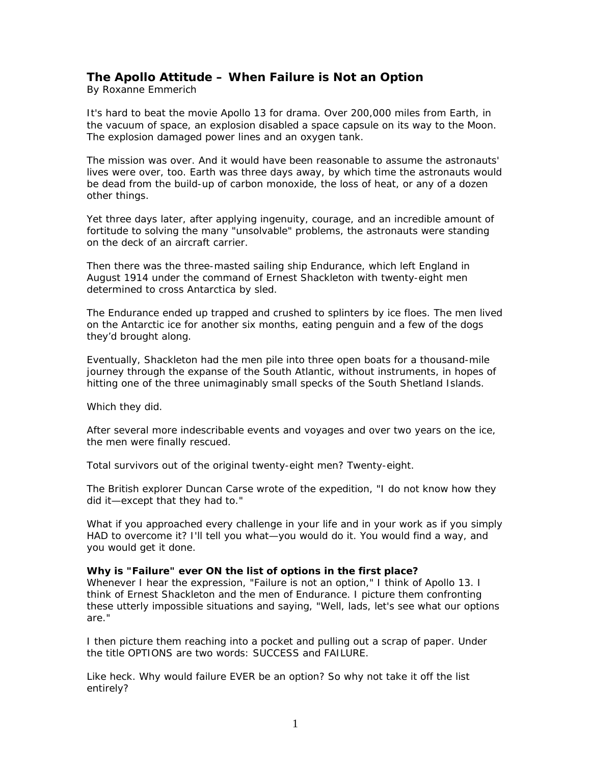## **The Apollo Attitude – When Failure is Not an Option**

*By Roxanne Emmerich* 

It's hard to beat the movie Apollo 13 for drama. Over 200,000 miles from Earth, in the vacuum of space, an explosion disabled a space capsule on its way to the Moon. The explosion damaged power lines and an oxygen tank.

The mission was over. And it would have been reasonable to assume the astronauts' lives were over, too. Earth was three days away, by which time the astronauts would be dead from the build-up of carbon monoxide, the loss of heat, or any of a dozen other things.

Yet three days later, after applying ingenuity, courage, and an incredible amount of fortitude to solving the many "unsolvable" problems, the astronauts were standing on the deck of an aircraft carrier.

Then there was the three-masted sailing ship Endurance, which left England in August 1914 under the command of Ernest Shackleton with twenty-eight men determined to cross Antarctica by sled.

The Endurance ended up trapped and crushed to splinters by ice floes. The men lived on the Antarctic ice for another six months, eating penguin and a few of the dogs they'd brought along.

Eventually, Shackleton had the men pile into three open boats for a thousand-mile journey through the expanse of the South Atlantic, without instruments, in hopes of hitting one of the three unimaginably small specks of the South Shetland Islands.

Which they did.

After several more indescribable events and voyages and over two years on the ice, the men were finally rescued.

Total survivors out of the original twenty-eight men? Twenty-eight.

The British explorer Duncan Carse wrote of the expedition, "I do not know how they did it—except that they had to."

What if you approached every challenge in your life and in your work as if you simply HAD to overcome it? I'll tell you what—you would do it. You would find a way, and you would get it done.

**Why is "Failure" ever ON the list of options in the first place?** 

Whenever I hear the expression, "Failure is not an option," I think of Apollo 13. I think of Ernest Shackleton and the men of Endurance. I picture them confronting these utterly impossible situations and saying, "Well, lads, let's see what our options are."

I then picture them reaching into a pocket and pulling out a scrap of paper. Under the title OPTIONS are two words: SUCCESS and FAILURE.

Like heck. Why would failure EVER be an option? So why not take it off the list entirely?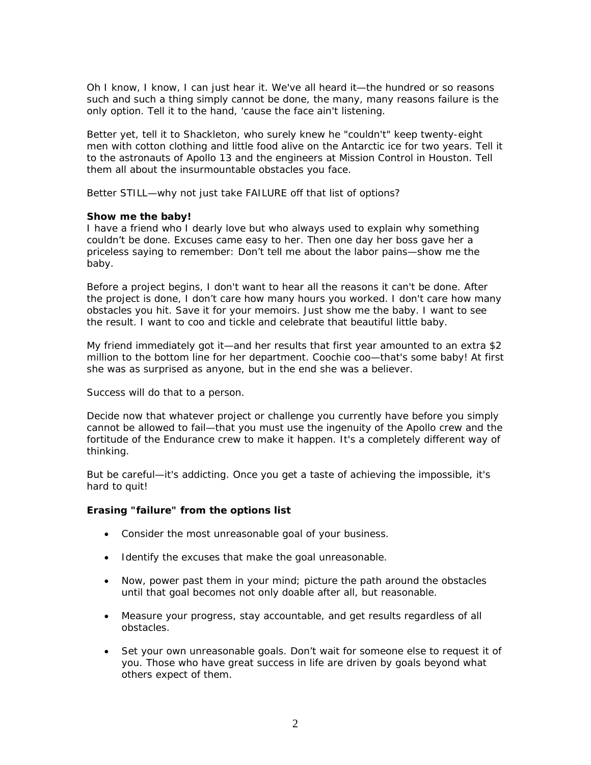Oh I know, I know, I can just hear it. We've all heard it—the hundred or so reasons such and such a thing simply cannot be done, the many, many reasons failure is the only option. Tell it to the hand, 'cause the face ain't listening.

Better yet, tell it to Shackleton, who surely knew he "couldn't" keep twenty-eight men with cotton clothing and little food alive on the Antarctic ice for two years. Tell it to the astronauts of Apollo 13 and the engineers at Mission Control in Houston. Tell them all about the insurmountable obstacles you face.

Better STILL—why not just take FAILURE off that list of options?

## **Show me the baby!**

I have a friend who I dearly love but who always used to explain why something couldn't be done. Excuses came easy to her. Then one day her boss gave her a priceless saying to remember: Don't tell me about the labor pains—show me the baby.

Before a project begins, I don't want to hear all the reasons it can't be done. After the project is done, I don't care how many hours you worked. I don't care how many obstacles you hit. Save it for your memoirs. Just show me the baby. I want to see the result. I want to coo and tickle and celebrate that beautiful little baby.

My friend immediately got it—and her results that first year amounted to an extra \$2 million to the bottom line for her department. Coochie coo—that's some baby! At first she was as surprised as anyone, but in the end she was a believer.

Success will do that to a person.

Decide now that whatever project or challenge you currently have before you simply cannot be allowed to fail—that you must use the ingenuity of the Apollo crew and the fortitude of the Endurance crew to make it happen. It's a completely different way of thinking.

But be careful—it's addicting. Once you get a taste of achieving the impossible, it's hard to quit!

## **Erasing "failure" from the options list**

- Consider the most unreasonable goal of your business.
- Identify the excuses that make the goal unreasonable.
- Now, power past them in your mind; picture the path around the obstacles until that goal becomes not only doable after all, but reasonable.
- Measure your progress, stay accountable, and get results regardless of all obstacles.
- Set your own unreasonable goals. Don't wait for someone else to request it of you. Those who have great success in life are driven by goals beyond what others expect of them.